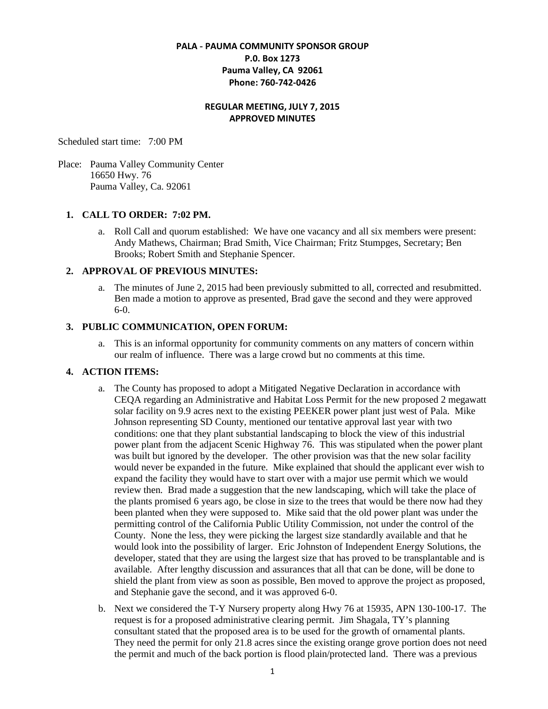## **PALA - PAUMA COMMUNITY SPONSOR GROUP P.0. Box 1273 Pauma Valley, CA 92061 Phone: 760-742-0426**

#### **REGULAR MEETING, JULY 7, 2015 APPROVED MINUTES**

Scheduled start time: 7:00 PM

Place: Pauma Valley Community Center 16650 Hwy. 76 Pauma Valley, Ca. 92061

#### **1. CALL TO ORDER: 7:02 PM.**

a. Roll Call and quorum established: We have one vacancy and all six members were present: Andy Mathews, Chairman; Brad Smith, Vice Chairman; Fritz Stumpges, Secretary; Ben Brooks; Robert Smith and Stephanie Spencer.

## **2. APPROVAL OF PREVIOUS MINUTES:**

a. The minutes of June 2, 2015 had been previously submitted to all, corrected and resubmitted. Ben made a motion to approve as presented, Brad gave the second and they were approved 6-0.

## **3. PUBLIC COMMUNICATION, OPEN FORUM:**

a. This is an informal opportunity for community comments on any matters of concern within our realm of influence. There was a large crowd but no comments at this time.

# **4. ACTION ITEMS:**

- a. The County has proposed to adopt a Mitigated Negative Declaration in accordance with CEQA regarding an Administrative and Habitat Loss Permit for the new proposed 2 megawatt solar facility on 9.9 acres next to the existing PEEKER power plant just west of Pala. Mike Johnson representing SD County, mentioned our tentative approval last year with two conditions: one that they plant substantial landscaping to block the view of this industrial power plant from the adjacent Scenic Highway 76. This was stipulated when the power plant was built but ignored by the developer. The other provision was that the new solar facility would never be expanded in the future. Mike explained that should the applicant ever wish to expand the facility they would have to start over with a major use permit which we would review then. Brad made a suggestion that the new landscaping, which will take the place of the plants promised 6 years ago, be close in size to the trees that would be there now had they been planted when they were supposed to. Mike said that the old power plant was under the permitting control of the California Public Utility Commission, not under the control of the County. None the less, they were picking the largest size standardly available and that he would look into the possibility of larger. Eric Johnston of Independent Energy Solutions, the developer, stated that they are using the largest size that has proved to be transplantable and is available. After lengthy discussion and assurances that all that can be done, will be done to shield the plant from view as soon as possible, Ben moved to approve the project as proposed, and Stephanie gave the second, and it was approved 6-0.
- b. Next we considered the T-Y Nursery property along Hwy 76 at 15935, APN 130-100-17. The request is for a proposed administrative clearing permit. Jim Shagala, TY's planning consultant stated that the proposed area is to be used for the growth of ornamental plants. They need the permit for only 21.8 acres since the existing orange grove portion does not need the permit and much of the back portion is flood plain/protected land. There was a previous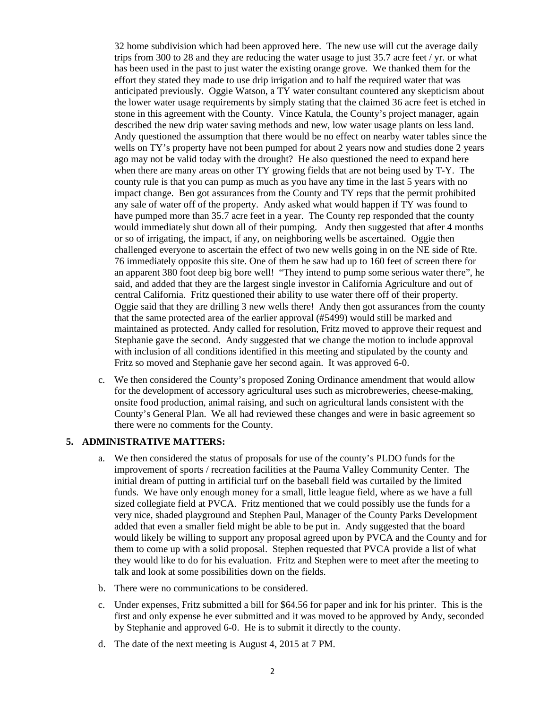32 home subdivision which had been approved here. The new use will cut the average daily trips from 300 to 28 and they are reducing the water usage to just 35.7 acre feet / yr. or what has been used in the past to just water the existing orange grove. We thanked them for the effort they stated they made to use drip irrigation and to half the required water that was anticipated previously. Oggie Watson, a TY water consultant countered any skepticism about the lower water usage requirements by simply stating that the claimed 36 acre feet is etched in stone in this agreement with the County. Vince Katula, the County's project manager, again described the new drip water saving methods and new, low water usage plants on less land. Andy questioned the assumption that there would be no effect on nearby water tables since the wells on TY's property have not been pumped for about 2 years now and studies done 2 years ago may not be valid today with the drought? He also questioned the need to expand here when there are many areas on other TY growing fields that are not being used by T-Y. The county rule is that you can pump as much as you have any time in the last 5 years with no impact change. Ben got assurances from the County and TY reps that the permit prohibited any sale of water off of the property. Andy asked what would happen if TY was found to have pumped more than 35.7 acre feet in a year. The County rep responded that the county would immediately shut down all of their pumping. Andy then suggested that after 4 months or so of irrigating, the impact, if any, on neighboring wells be ascertained. Oggie then challenged everyone to ascertain the effect of two new wells going in on the NE side of Rte. 76 immediately opposite this site. One of them he saw had up to 160 feet of screen there for an apparent 380 foot deep big bore well! "They intend to pump some serious water there", he said, and added that they are the largest single investor in California Agriculture and out of central California. Fritz questioned their ability to use water there off of their property. Oggie said that they are drilling 3 new wells there! Andy then got assurances from the county that the same protected area of the earlier approval (#5499) would still be marked and maintained as protected. Andy called for resolution, Fritz moved to approve their request and Stephanie gave the second. Andy suggested that we change the motion to include approval with inclusion of all conditions identified in this meeting and stipulated by the county and Fritz so moved and Stephanie gave her second again. It was approved 6-0.

c. We then considered the County's proposed Zoning Ordinance amendment that would allow for the development of accessory agricultural uses such as microbreweries, cheese-making, onsite food production, animal raising, and such on agricultural lands consistent with the County's General Plan. We all had reviewed these changes and were in basic agreement so there were no comments for the County.

#### **5. ADMINISTRATIVE MATTERS:**

- a. We then considered the status of proposals for use of the county's PLDO funds for the improvement of sports / recreation facilities at the Pauma Valley Community Center. The initial dream of putting in artificial turf on the baseball field was curtailed by the limited funds. We have only enough money for a small, little league field, where as we have a full sized collegiate field at PVCA. Fritz mentioned that we could possibly use the funds for a very nice, shaded playground and Stephen Paul, Manager of the County Parks Development added that even a smaller field might be able to be put in. Andy suggested that the board would likely be willing to support any proposal agreed upon by PVCA and the County and for them to come up with a solid proposal. Stephen requested that PVCA provide a list of what they would like to do for his evaluation. Fritz and Stephen were to meet after the meeting to talk and look at some possibilities down on the fields.
- b. There were no communications to be considered.
- c. Under expenses, Fritz submitted a bill for \$64.56 for paper and ink for his printer. This is the first and only expense he ever submitted and it was moved to be approved by Andy, seconded by Stephanie and approved 6-0. He is to submit it directly to the county.
- d. The date of the next meeting is August 4, 2015 at 7 PM.